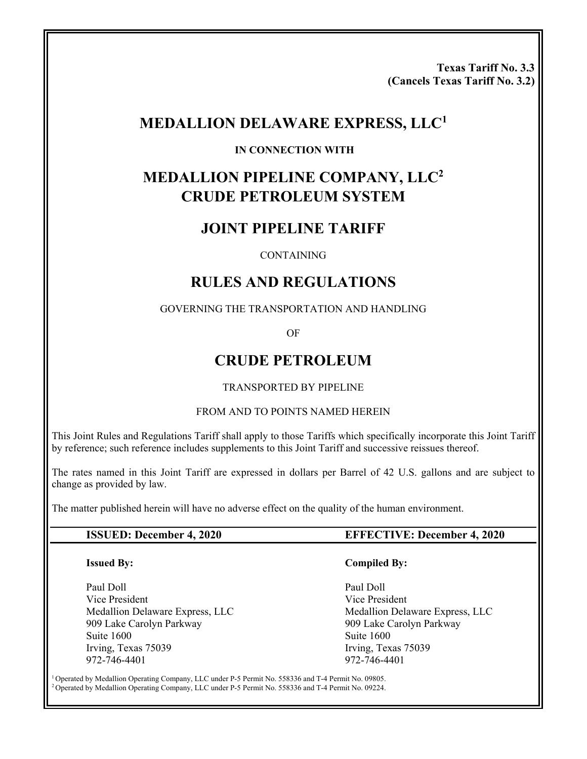**Texas Tariff No. 3.3 (Cancels Texas Tariff No. 3.2)** 

# **MEDALLION DELAWARE EXPRESS, LLC1**

#### **IN CONNECTION WITH**

# **MEDALLION PIPELINE COMPANY, LLC2 CRUDE PETROLEUM SYSTEM**

# **JOINT PIPELINE TARIFF**

#### **CONTAINING**

# **RULES AND REGULATIONS**

#### GOVERNING THE TRANSPORTATION AND HANDLING

OF

## **CRUDE PETROLEUM**

#### TRANSPORTED BY PIPELINE

#### FROM AND TO POINTS NAMED HEREIN

This Joint Rules and Regulations Tariff shall apply to those Tariffs which specifically incorporate this Joint Tariff by reference; such reference includes supplements to this Joint Tariff and successive reissues thereof.

The rates named in this Joint Tariff are expressed in dollars per Barrel of 42 U.S. gallons and are subject to change as provided by law.

The matter published herein will have no adverse effect on the quality of the human environment.

#### **Issued By:**

Paul Doll Vice President Medallion Delaware Express, LLC 909 Lake Carolyn Parkway Suite 1600 Irving, Texas 75039 972-746-4401

#### **ISSUED: December 4, 2020 EFFECTIVE: December 4, 2020**

#### **Compiled By:**

 Paul Doll Vice President Medallion Delaware Express, LLC 909 Lake Carolyn Parkway Suite 1600 Irving, Texas 75039 972-746-4401

<sup>1</sup> Operated by Medallion Operating Company, LLC under P-5 Permit No. 558336 and T-4 Permit No. 09805.<br><sup>2</sup> Operated by Medallion Operating Company, LLC under P-5 Permit No. 558336 and T-4 Permit No. 09224.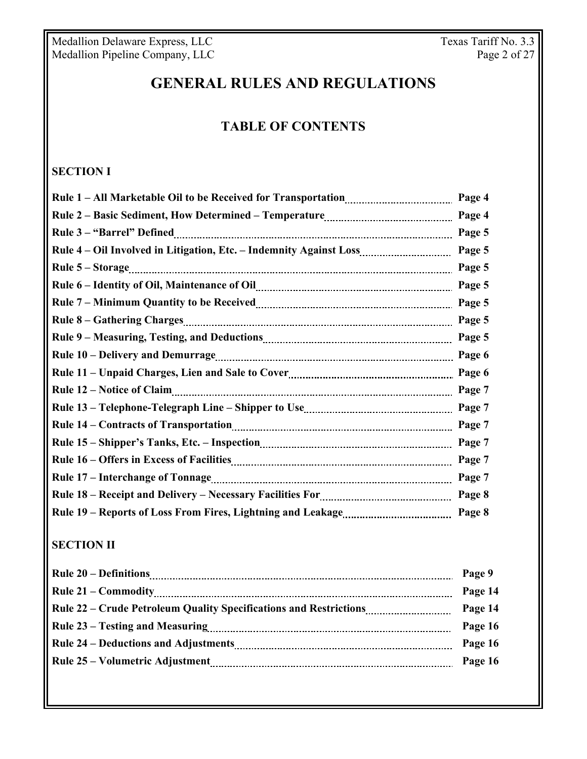Medallion Delaware Express, LLC Texas Tariff No. 3.3 Medallion Pipeline Company, LLC **Page 2 of 27** 

# **GENERAL RULES AND REGULATIONS**

# **TABLE OF CONTENTS**

# **SECTION I**

|                                                                    | Page 4 |
|--------------------------------------------------------------------|--------|
|                                                                    | Page 4 |
|                                                                    | Page 5 |
| Rule 4 - Oil Involved in Litigation, Etc. - Indemnity Against Loss | Page 5 |
|                                                                    | Page 5 |
|                                                                    | Page 5 |
|                                                                    | Page 5 |
|                                                                    | Page 5 |
|                                                                    | Page 5 |
|                                                                    | Page 6 |
|                                                                    | Page 6 |
|                                                                    | Page 7 |
|                                                                    | Page 7 |
|                                                                    | Page 7 |
|                                                                    | Page 7 |
|                                                                    | Page 7 |
|                                                                    | Page 7 |
|                                                                    | Page 8 |
|                                                                    | Page 8 |

## **SECTION II**

|                                                                   | Page 9  |
|-------------------------------------------------------------------|---------|
|                                                                   | Page 14 |
| Rule 22 – Crude Petroleum Quality Specifications and Restrictions | Page 14 |
|                                                                   | Page 16 |
|                                                                   | Page 16 |
|                                                                   | Page 16 |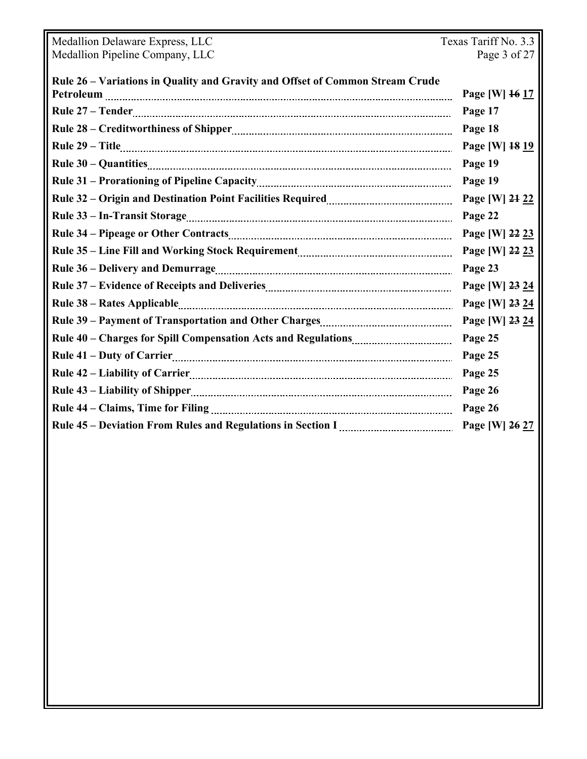| Medallion Delaware Express, LLC                                               | Texas Tariff No. 3.3 |  |
|-------------------------------------------------------------------------------|----------------------|--|
| Medallion Pipeline Company, LLC                                               | Page 3 of 27         |  |
|                                                                               |                      |  |
| Rule 26 - Variations in Quality and Gravity and Offset of Common Stream Crude | Page [W] 16 17       |  |
|                                                                               | Page 17              |  |
|                                                                               |                      |  |
|                                                                               | Page 18              |  |
|                                                                               | Page [W] 18 19       |  |
|                                                                               | Page 19              |  |
|                                                                               | Page 19              |  |
|                                                                               | Page [W] 24 22       |  |
|                                                                               | Page 22              |  |
|                                                                               | Page [W] 22 23       |  |
|                                                                               | Page [W] 22 23       |  |
|                                                                               | Page 23              |  |
|                                                                               | Page [W] 23 24       |  |
|                                                                               | Page [W] 23 24       |  |
|                                                                               | Page [W] 23 24       |  |
|                                                                               | Page 25              |  |
|                                                                               | Page 25              |  |
|                                                                               | Page 25              |  |
|                                                                               | Page 26              |  |
|                                                                               | Page 26              |  |
|                                                                               | Page [W] 26 27       |  |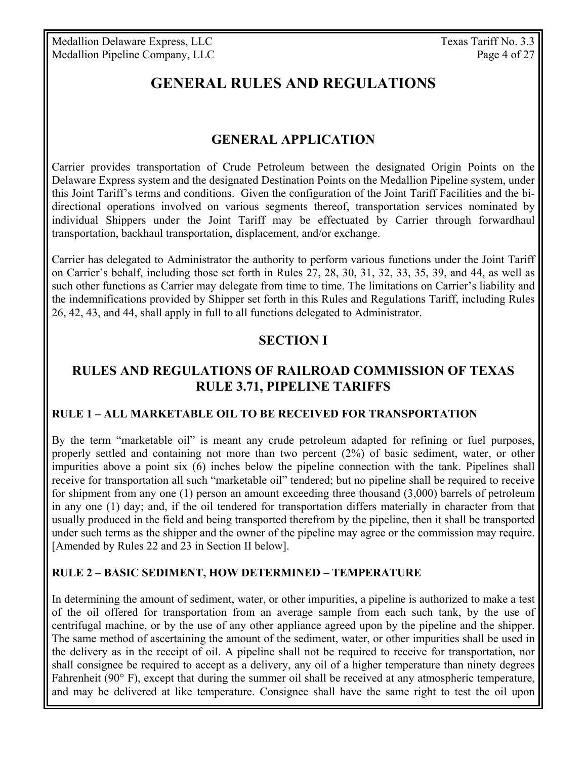# **GENERAL RULES AND REGULATIONS**

## **GENERAL APPLICATION**

Carrier provides transportation of Crude Petroleum between the designated Origin Points on the Delaware Express system and the designated Destination Points on the Medallion Pipeline system, under this Joint Tariff's terms and conditions. Given the configuration of the Joint Tariff Facilities and the bidirectional operations involved on various segments thereof, transportation services nominated by individual Shippers under the Joint Tariff may be effectuated by Carrier through forwardhaul transportation, backhaul transportation, displacement, and/or exchange.

Carrier has delegated to Administrator the authority to perform various functions under the Joint Tariff on Carrier's behalf, including those set forth in Rules 27, 28, 30, 31, 32, 33, 35, 39, and 44, as well as such other functions as Carrier may delegate from time to time. The limitations on Carrier's liability and the indemnifications provided by Shipper set forth in this Rules and Regulations Tariff, including Rules 26, 42, 43, and 44, shall apply in full to all functions delegated to Administrator.

#### **SECTION I**

## **RULES AND REGULATIONS OF RAILROAD COMMISSION OF TEXAS RULE 3.71, PIPELINE TARIFFS**

#### **RULE 1 – ALL MARKETABLE OIL TO BE RECEIVED FOR TRANSPORTATION**

By the term "marketable oil" is meant any crude petroleum adapted for refining or fuel purposes, properly settled and containing not more than two percent (2%) of basic sediment, water, or other impurities above a point six (6) inches below the pipeline connection with the tank. Pipelines shall receive for transportation all such "marketable oil" tendered; but no pipeline shall be required to receive for shipment from any one (1) person an amount exceeding three thousand (3,000) barrels of petroleum in any one (1) day; and, if the oil tendered for transportation differs materially in character from that usually produced in the field and being transported therefrom by the pipeline, then it shall be transported under such terms as the shipper and the owner of the pipeline may agree or the commission may require. [Amended by Rules 22 and 23 in Section II below].

#### **RULE 2 – BASIC SEDIMENT, HOW DETERMINED – TEMPERATURE**

In determining the amount of sediment, water, or other impurities, a pipeline is authorized to make a test of the oil offered for transportation from an average sample from each such tank, by the use of centrifugal machine, or by the use of any other appliance agreed upon by the pipeline and the shipper. The same method of ascertaining the amount of the sediment, water, or other impurities shall be used in the delivery as in the receipt of oil. A pipeline shall not be required to receive for transportation, nor shall consignee be required to accept as a delivery, any oil of a higher temperature than ninety degrees Fahrenheit (90° F), except that during the summer oil shall be received at any atmospheric temperature, and may be delivered at like temperature. Consignee shall have the same right to test the oil upon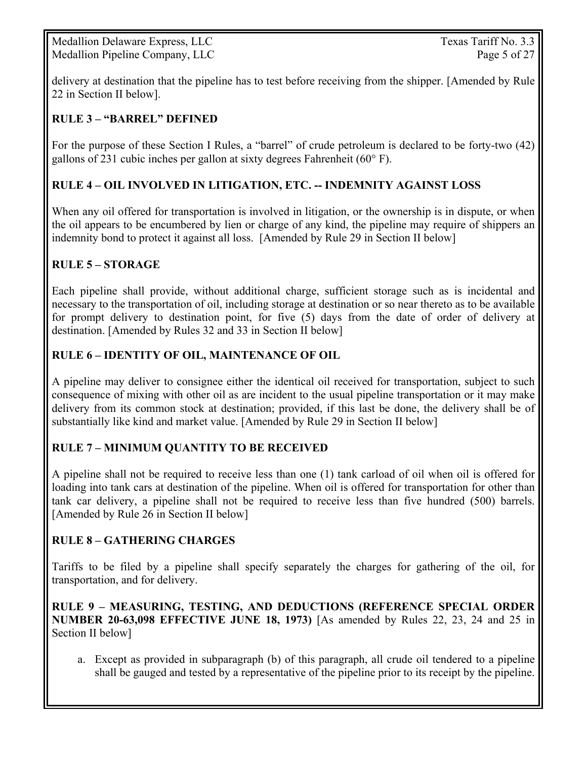Medallion Delaware Express, LLC Texas Tariff No. 3.3 Medallion Pipeline Company, LLC Page 5 of 27

delivery at destination that the pipeline has to test before receiving from the shipper. [Amended by Rule 22 in Section II below].

#### **RULE 3 – "BARREL" DEFINED**

For the purpose of these Section I Rules, a "barrel" of crude petroleum is declared to be forty-two (42) gallons of 231 cubic inches per gallon at sixty degrees Fahrenheit (60° F).

#### **RULE 4 – OIL INVOLVED IN LITIGATION, ETC. -- INDEMNITY AGAINST LOSS**

When any oil offered for transportation is involved in litigation, or the ownership is in dispute, or when the oil appears to be encumbered by lien or charge of any kind, the pipeline may require of shippers an indemnity bond to protect it against all loss. [Amended by Rule 29 in Section II below]

#### **RULE 5 – STORAGE**

Each pipeline shall provide, without additional charge, sufficient storage such as is incidental and necessary to the transportation of oil, including storage at destination or so near thereto as to be available for prompt delivery to destination point, for five (5) days from the date of order of delivery at destination. [Amended by Rules 32 and 33 in Section II below]

#### **RULE 6 – IDENTITY OF OIL, MAINTENANCE OF OIL**

A pipeline may deliver to consignee either the identical oil received for transportation, subject to such consequence of mixing with other oil as are incident to the usual pipeline transportation or it may make delivery from its common stock at destination; provided, if this last be done, the delivery shall be of substantially like kind and market value. [Amended by Rule 29 in Section II below]

#### **RULE 7 – MINIMUM QUANTITY TO BE RECEIVED**

A pipeline shall not be required to receive less than one (1) tank carload of oil when oil is offered for loading into tank cars at destination of the pipeline. When oil is offered for transportation for other than tank car delivery, a pipeline shall not be required to receive less than five hundred (500) barrels. [Amended by Rule 26 in Section II below]

#### **RULE 8 – GATHERING CHARGES**

Tariffs to be filed by a pipeline shall specify separately the charges for gathering of the oil, for transportation, and for delivery.

**RULE 9 – MEASURING, TESTING, AND DEDUCTIONS (REFERENCE SPECIAL ORDER NUMBER 20-63,098 EFFECTIVE JUNE 18, 1973)** [As amended by Rules 22, 23, 24 and 25 in Section II below]

a. Except as provided in subparagraph (b) of this paragraph, all crude oil tendered to a pipeline shall be gauged and tested by a representative of the pipeline prior to its receipt by the pipeline.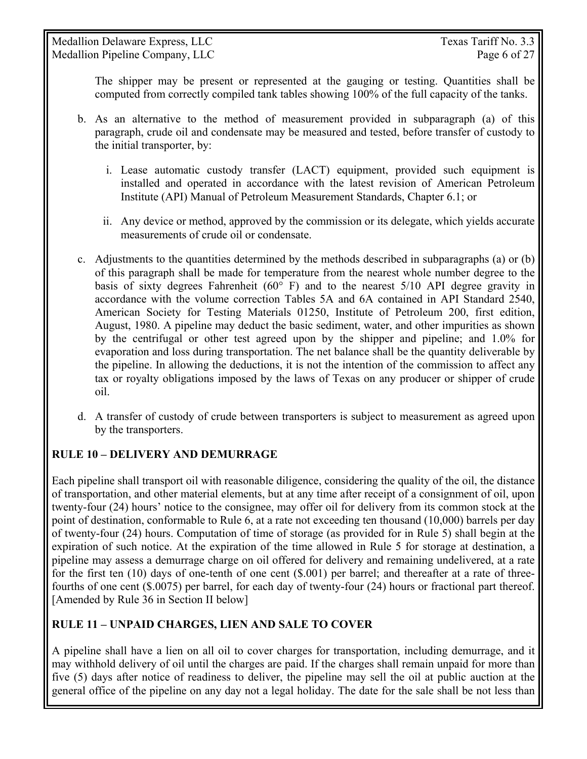The shipper may be present or represented at the gauging or testing. Quantities shall be computed from correctly compiled tank tables showing 100% of the full capacity of the tanks.

- b. As an alternative to the method of measurement provided in subparagraph (a) of this paragraph, crude oil and condensate may be measured and tested, before transfer of custody to the initial transporter, by:
	- i. Lease automatic custody transfer (LACT) equipment, provided such equipment is installed and operated in accordance with the latest revision of American Petroleum Institute (API) Manual of Petroleum Measurement Standards, Chapter 6.1; or
	- ii. Any device or method, approved by the commission or its delegate, which yields accurate measurements of crude oil or condensate.
- c. Adjustments to the quantities determined by the methods described in subparagraphs (a) or (b) of this paragraph shall be made for temperature from the nearest whole number degree to the basis of sixty degrees Fahrenheit ( $60^{\circ}$  F) and to the nearest  $5/10$  API degree gravity in accordance with the volume correction Tables 5A and 6A contained in API Standard 2540, American Society for Testing Materials 01250, Institute of Petroleum 200, first edition, August, 1980. A pipeline may deduct the basic sediment, water, and other impurities as shown by the centrifugal or other test agreed upon by the shipper and pipeline; and 1.0% for evaporation and loss during transportation. The net balance shall be the quantity deliverable by the pipeline. In allowing the deductions, it is not the intention of the commission to affect any tax or royalty obligations imposed by the laws of Texas on any producer or shipper of crude oil.
- d. A transfer of custody of crude between transporters is subject to measurement as agreed upon by the transporters.

## **RULE 10 – DELIVERY AND DEMURRAGE**

Each pipeline shall transport oil with reasonable diligence, considering the quality of the oil, the distance of transportation, and other material elements, but at any time after receipt of a consignment of oil, upon twenty-four (24) hours' notice to the consignee, may offer oil for delivery from its common stock at the point of destination, conformable to Rule 6, at a rate not exceeding ten thousand (10,000) barrels per day of twenty-four (24) hours. Computation of time of storage (as provided for in Rule 5) shall begin at the expiration of such notice. At the expiration of the time allowed in Rule 5 for storage at destination, a pipeline may assess a demurrage charge on oil offered for delivery and remaining undelivered, at a rate for the first ten (10) days of one-tenth of one cent (\$.001) per barrel; and thereafter at a rate of threefourths of one cent (\$.0075) per barrel, for each day of twenty-four (24) hours or fractional part thereof. [Amended by Rule 36 in Section II below]

## **RULE 11 – UNPAID CHARGES, LIEN AND SALE TO COVER**

A pipeline shall have a lien on all oil to cover charges for transportation, including demurrage, and it may withhold delivery of oil until the charges are paid. If the charges shall remain unpaid for more than five (5) days after notice of readiness to deliver, the pipeline may sell the oil at public auction at the general office of the pipeline on any day not a legal holiday. The date for the sale shall be not less than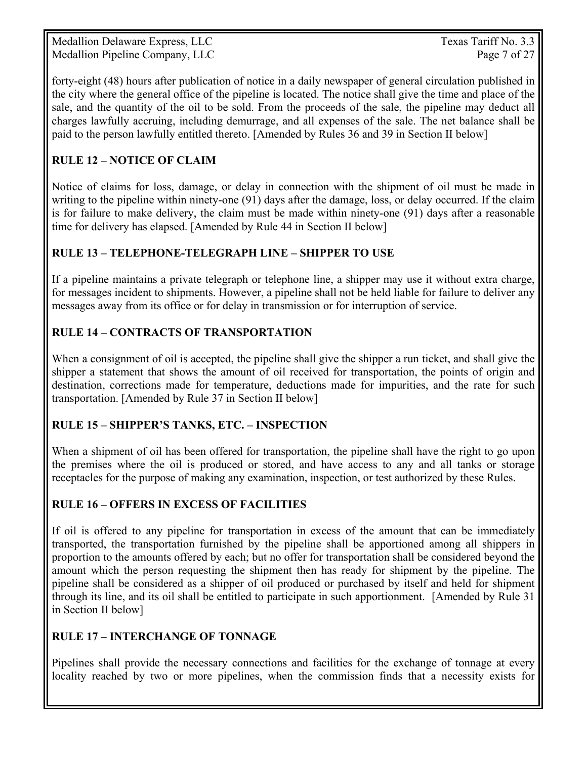Medallion Delaware Express, LLC Texas Tariff No. 3.3 Medallion Pipeline Company, LLC Page 7 of 27

forty-eight (48) hours after publication of notice in a daily newspaper of general circulation published in the city where the general office of the pipeline is located. The notice shall give the time and place of the sale, and the quantity of the oil to be sold. From the proceeds of the sale, the pipeline may deduct all charges lawfully accruing, including demurrage, and all expenses of the sale. The net balance shall be paid to the person lawfully entitled thereto. [Amended by Rules 36 and 39 in Section II below]

## **RULE 12 – NOTICE OF CLAIM**

Notice of claims for loss, damage, or delay in connection with the shipment of oil must be made in writing to the pipeline within ninety-one (91) days after the damage, loss, or delay occurred. If the claim is for failure to make delivery, the claim must be made within ninety-one (91) days after a reasonable time for delivery has elapsed. [Amended by Rule 44 in Section II below]

#### **RULE 13 – TELEPHONE-TELEGRAPH LINE – SHIPPER TO USE**

If a pipeline maintains a private telegraph or telephone line, a shipper may use it without extra charge, for messages incident to shipments. However, a pipeline shall not be held liable for failure to deliver any messages away from its office or for delay in transmission or for interruption of service.

#### **RULE 14 – CONTRACTS OF TRANSPORTATION**

When a consignment of oil is accepted, the pipeline shall give the shipper a run ticket, and shall give the shipper a statement that shows the amount of oil received for transportation, the points of origin and destination, corrections made for temperature, deductions made for impurities, and the rate for such transportation. [Amended by Rule 37 in Section II below]

#### **RULE 15 – SHIPPER'S TANKS, ETC. – INSPECTION**

When a shipment of oil has been offered for transportation, the pipeline shall have the right to go upon the premises where the oil is produced or stored, and have access to any and all tanks or storage receptacles for the purpose of making any examination, inspection, or test authorized by these Rules.

#### **RULE 16 – OFFERS IN EXCESS OF FACILITIES**

If oil is offered to any pipeline for transportation in excess of the amount that can be immediately transported, the transportation furnished by the pipeline shall be apportioned among all shippers in proportion to the amounts offered by each; but no offer for transportation shall be considered beyond the amount which the person requesting the shipment then has ready for shipment by the pipeline. The pipeline shall be considered as a shipper of oil produced or purchased by itself and held for shipment through its line, and its oil shall be entitled to participate in such apportionment. [Amended by Rule 31 in Section II below]

#### **RULE 17 – INTERCHANGE OF TONNAGE**

Pipelines shall provide the necessary connections and facilities for the exchange of tonnage at every locality reached by two or more pipelines, when the commission finds that a necessity exists for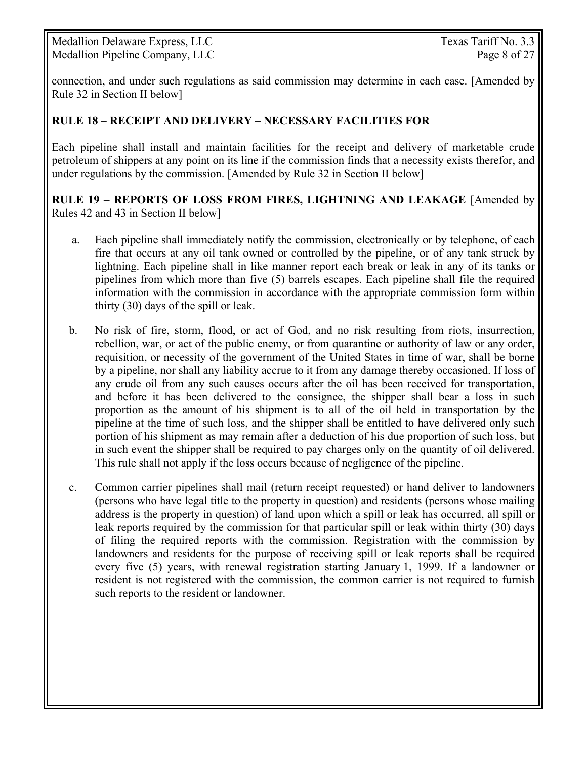Medallion Delaware Express, LLC Texas Tariff No. 3.3 Medallion Pipeline Company, LLC Page 8 of 27

connection, and under such regulations as said commission may determine in each case. [Amended by Rule 32 in Section II below]

#### **RULE 18 – RECEIPT AND DELIVERY – NECESSARY FACILITIES FOR**

Each pipeline shall install and maintain facilities for the receipt and delivery of marketable crude petroleum of shippers at any point on its line if the commission finds that a necessity exists therefor, and under regulations by the commission. [Amended by Rule 32 in Section II below]

**RULE 19 – REPORTS OF LOSS FROM FIRES, LIGHTNING AND LEAKAGE** [Amended by Rules 42 and 43 in Section II below]

- a. Each pipeline shall immediately notify the commission, electronically or by telephone, of each fire that occurs at any oil tank owned or controlled by the pipeline, or of any tank struck by lightning. Each pipeline shall in like manner report each break or leak in any of its tanks or pipelines from which more than five (5) barrels escapes. Each pipeline shall file the required information with the commission in accordance with the appropriate commission form within thirty (30) days of the spill or leak.
- b. No risk of fire, storm, flood, or act of God, and no risk resulting from riots, insurrection, rebellion, war, or act of the public enemy, or from quarantine or authority of law or any order, requisition, or necessity of the government of the United States in time of war, shall be borne by a pipeline, nor shall any liability accrue to it from any damage thereby occasioned. If loss of any crude oil from any such causes occurs after the oil has been received for transportation, and before it has been delivered to the consignee, the shipper shall bear a loss in such proportion as the amount of his shipment is to all of the oil held in transportation by the pipeline at the time of such loss, and the shipper shall be entitled to have delivered only such portion of his shipment as may remain after a deduction of his due proportion of such loss, but in such event the shipper shall be required to pay charges only on the quantity of oil delivered. This rule shall not apply if the loss occurs because of negligence of the pipeline.
- c. Common carrier pipelines shall mail (return receipt requested) or hand deliver to landowners (persons who have legal title to the property in question) and residents (persons whose mailing address is the property in question) of land upon which a spill or leak has occurred, all spill or leak reports required by the commission for that particular spill or leak within thirty (30) days of filing the required reports with the commission. Registration with the commission by landowners and residents for the purpose of receiving spill or leak reports shall be required every five (5) years, with renewal registration starting January 1, 1999. If a landowner or resident is not registered with the commission, the common carrier is not required to furnish such reports to the resident or landowner.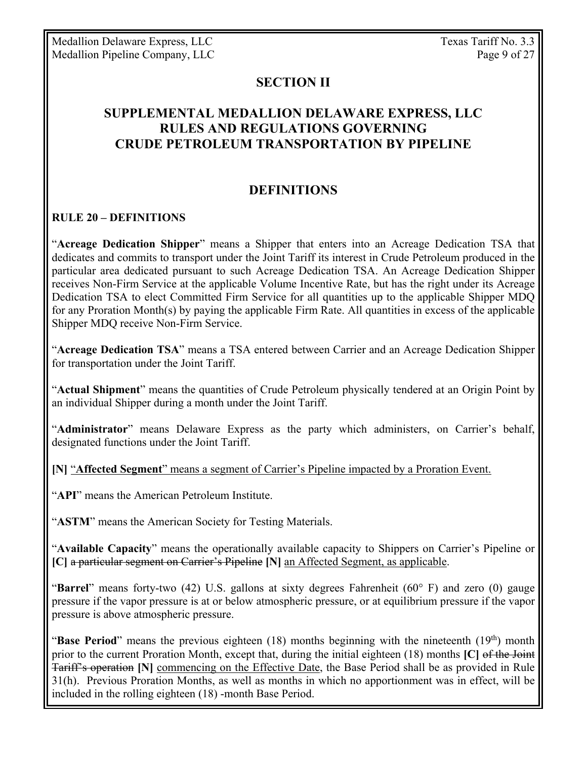Medallion Delaware Express, LLC Texas Tariff No. 3.3 Medallion Pipeline Company, LLC Page 9 of 27

#### **SECTION II**

## **SUPPLEMENTAL MEDALLION DELAWARE EXPRESS, LLC RULES AND REGULATIONS GOVERNING CRUDE PETROLEUM TRANSPORTATION BY PIPELINE**

## **DEFINITIONS**

#### **RULE 20 – DEFINITIONS**

"**Acreage Dedication Shipper**" means a Shipper that enters into an Acreage Dedication TSA that dedicates and commits to transport under the Joint Tariff its interest in Crude Petroleum produced in the particular area dedicated pursuant to such Acreage Dedication TSA. An Acreage Dedication Shipper receives Non-Firm Service at the applicable Volume Incentive Rate, but has the right under its Acreage Dedication TSA to elect Committed Firm Service for all quantities up to the applicable Shipper MDQ for any Proration Month(s) by paying the applicable Firm Rate. All quantities in excess of the applicable Shipper MDQ receive Non-Firm Service.

"**Acreage Dedication TSA**" means a TSA entered between Carrier and an Acreage Dedication Shipper for transportation under the Joint Tariff.

"**Actual Shipment**" means the quantities of Crude Petroleum physically tendered at an Origin Point by an individual Shipper during a month under the Joint Tariff.

"**Administrator**" means Delaware Express as the party which administers, on Carrier's behalf, designated functions under the Joint Tariff.

**[N]** "**Affected Segment**" means a segment of Carrier's Pipeline impacted by a Proration Event.

"**API**" means the American Petroleum Institute.

"**ASTM**" means the American Society for Testing Materials.

"**Available Capacity**" means the operationally available capacity to Shippers on Carrier's Pipeline or **[C]** a particular segment on Carrier's Pipeline **[N]** an Affected Segment, as applicable.

"**Barrel**" means forty-two (42) U.S. gallons at sixty degrees Fahrenheit (60° F) and zero (0) gauge pressure if the vapor pressure is at or below atmospheric pressure, or at equilibrium pressure if the vapor pressure is above atmospheric pressure.

"**Base Period**" means the previous eighteen (18) months beginning with the nineteenth (19<sup>th</sup>) month prior to the current Proration Month, except that, during the initial eighteen (18) months **[C]** of the Joint Tariff's operation **[N]** commencing on the Effective Date, the Base Period shall be as provided in Rule 31(h). Previous Proration Months, as well as months in which no apportionment was in effect, will be included in the rolling eighteen (18) -month Base Period.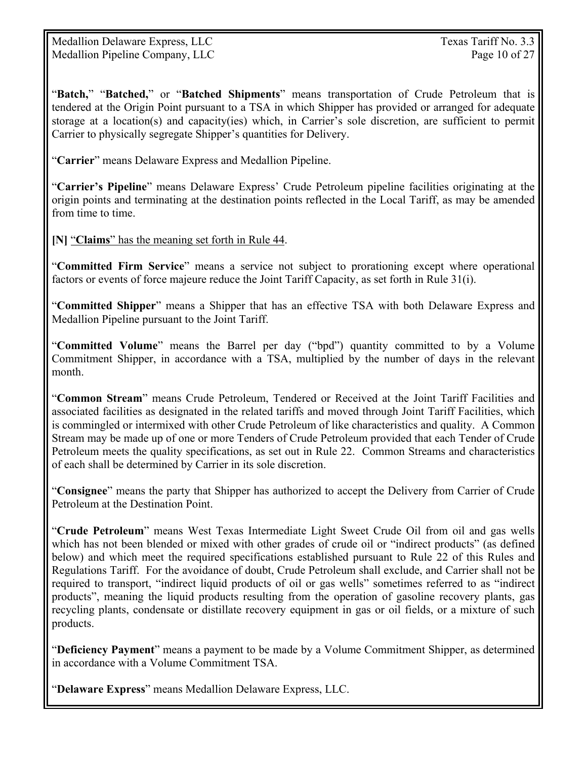Medallion Delaware Express, LLC Texas Tariff No. 3.3 Medallion Pipeline Company, LLC Page 10 of 27

"**Batch,**" "**Batched,**" or "**Batched Shipments**" means transportation of Crude Petroleum that is tendered at the Origin Point pursuant to a TSA in which Shipper has provided or arranged for adequate storage at a location(s) and capacity(ies) which, in Carrier's sole discretion, are sufficient to permit Carrier to physically segregate Shipper's quantities for Delivery.

"**Carrier**" means Delaware Express and Medallion Pipeline.

"**Carrier's Pipeline**" means Delaware Express' Crude Petroleum pipeline facilities originating at the origin points and terminating at the destination points reflected in the Local Tariff, as may be amended from time to time.

**[N]** "**Claims**" has the meaning set forth in Rule 44.

"**Committed Firm Service**" means a service not subject to prorationing except where operational factors or events of force majeure reduce the Joint Tariff Capacity, as set forth in Rule 31(i).

"**Committed Shipper**" means a Shipper that has an effective TSA with both Delaware Express and Medallion Pipeline pursuant to the Joint Tariff.

"**Committed Volume**" means the Barrel per day ("bpd") quantity committed to by a Volume Commitment Shipper, in accordance with a TSA, multiplied by the number of days in the relevant month.

"**Common Stream**" means Crude Petroleum, Tendered or Received at the Joint Tariff Facilities and associated facilities as designated in the related tariffs and moved through Joint Tariff Facilities, which is commingled or intermixed with other Crude Petroleum of like characteristics and quality. A Common Stream may be made up of one or more Tenders of Crude Petroleum provided that each Tender of Crude Petroleum meets the quality specifications, as set out in Rule 22. Common Streams and characteristics of each shall be determined by Carrier in its sole discretion.

"**Consignee**" means the party that Shipper has authorized to accept the Delivery from Carrier of Crude Petroleum at the Destination Point.

"**Crude Petroleum**" means West Texas Intermediate Light Sweet Crude Oil from oil and gas wells which has not been blended or mixed with other grades of crude oil or "indirect products" (as defined below) and which meet the required specifications established pursuant to Rule 22 of this Rules and Regulations Tariff. For the avoidance of doubt, Crude Petroleum shall exclude, and Carrier shall not be required to transport, "indirect liquid products of oil or gas wells" sometimes referred to as "indirect products", meaning the liquid products resulting from the operation of gasoline recovery plants, gas recycling plants, condensate or distillate recovery equipment in gas or oil fields, or a mixture of such products.

"**Deficiency Payment**" means a payment to be made by a Volume Commitment Shipper, as determined in accordance with a Volume Commitment TSA.

"**Delaware Express**" means Medallion Delaware Express, LLC.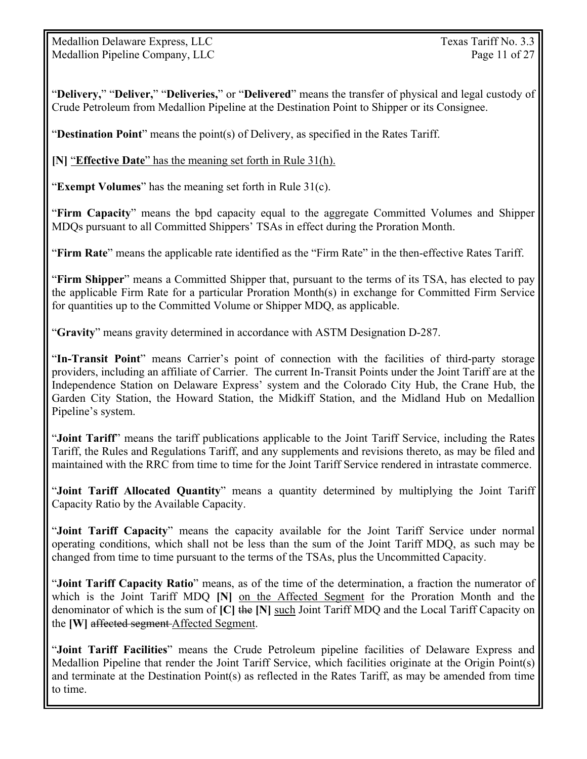Medallion Delaware Express, LLC Texas Tariff No. 3.3 Medallion Pipeline Company, LLC Page 11 of 27

"**Delivery,**" "**Deliver,**" "**Deliveries,**" or "**Delivered**" means the transfer of physical and legal custody of Crude Petroleum from Medallion Pipeline at the Destination Point to Shipper or its Consignee.

"**Destination Point**" means the point(s) of Delivery, as specified in the Rates Tariff.

**[N]** "**Effective Date**" has the meaning set forth in Rule 31(h).

"**Exempt Volumes**" has the meaning set forth in Rule 31(c).

"**Firm Capacity**" means the bpd capacity equal to the aggregate Committed Volumes and Shipper MDQs pursuant to all Committed Shippers' TSAs in effect during the Proration Month.

"**Firm Rate**" means the applicable rate identified as the "Firm Rate" in the then-effective Rates Tariff.

"**Firm Shipper**" means a Committed Shipper that, pursuant to the terms of its TSA, has elected to pay the applicable Firm Rate for a particular Proration Month(s) in exchange for Committed Firm Service for quantities up to the Committed Volume or Shipper MDQ, as applicable.

"**Gravity**" means gravity determined in accordance with ASTM Designation D-287.

"**In-Transit Point**" means Carrier's point of connection with the facilities of third-party storage providers, including an affiliate of Carrier. The current In-Transit Points under the Joint Tariff are at the Independence Station on Delaware Express' system and the Colorado City Hub, the Crane Hub, the Garden City Station, the Howard Station, the Midkiff Station, and the Midland Hub on Medallion Pipeline's system.

"**Joint Tariff**" means the tariff publications applicable to the Joint Tariff Service, including the Rates Tariff, the Rules and Regulations Tariff, and any supplements and revisions thereto, as may be filed and maintained with the RRC from time to time for the Joint Tariff Service rendered in intrastate commerce.

"**Joint Tariff Allocated Quantity**" means a quantity determined by multiplying the Joint Tariff Capacity Ratio by the Available Capacity.

"**Joint Tariff Capacity**" means the capacity available for the Joint Tariff Service under normal operating conditions, which shall not be less than the sum of the Joint Tariff MDQ, as such may be changed from time to time pursuant to the terms of the TSAs, plus the Uncommitted Capacity.

"**Joint Tariff Capacity Ratio**" means, as of the time of the determination, a fraction the numerator of which is the Joint Tariff MDQ **[N]** on the Affected Segment for the Proration Month and the denominator of which is the sum of **[C]** the **[N]** such Joint Tariff MDQ and the Local Tariff Capacity on the **[W]** affected segment Affected Segment.

"**Joint Tariff Facilities**" means the Crude Petroleum pipeline facilities of Delaware Express and Medallion Pipeline that render the Joint Tariff Service, which facilities originate at the Origin Point(s) and terminate at the Destination Point(s) as reflected in the Rates Tariff, as may be amended from time to time.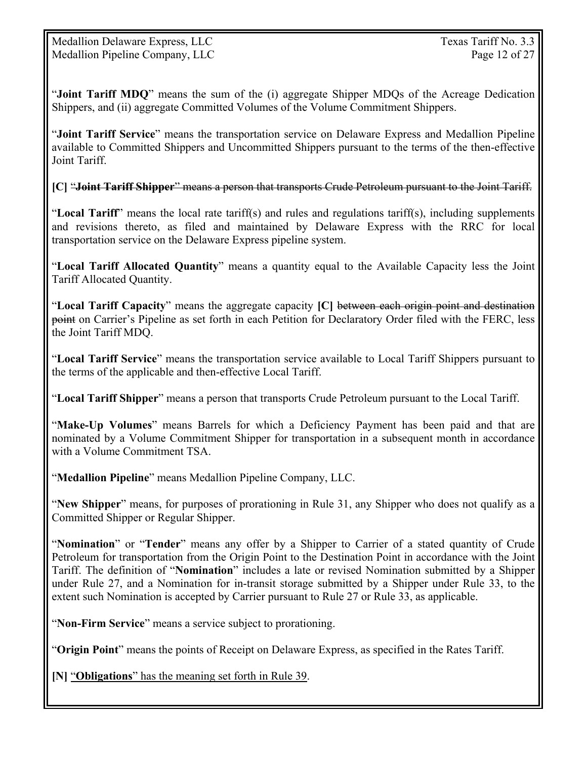"**Joint Tariff MDQ**" means the sum of the (i) aggregate Shipper MDQs of the Acreage Dedication Shippers, and (ii) aggregate Committed Volumes of the Volume Commitment Shippers.

"**Joint Tariff Service**" means the transportation service on Delaware Express and Medallion Pipeline available to Committed Shippers and Uncommitted Shippers pursuant to the terms of the then-effective Joint Tariff.

**[C]** "**Joint Tariff Shipper**" means a person that transports Crude Petroleum pursuant to the Joint Tariff.

"**Local Tariff**" means the local rate tariff(s) and rules and regulations tariff(s), including supplements and revisions thereto, as filed and maintained by Delaware Express with the RRC for local transportation service on the Delaware Express pipeline system.

"**Local Tariff Allocated Quantity**" means a quantity equal to the Available Capacity less the Joint Tariff Allocated Quantity.

"**Local Tariff Capacity**" means the aggregate capacity **[C]** between each origin point and destination point on Carrier's Pipeline as set forth in each Petition for Declaratory Order filed with the FERC, less the Joint Tariff MDQ.

"**Local Tariff Service**" means the transportation service available to Local Tariff Shippers pursuant to the terms of the applicable and then-effective Local Tariff.

"**Local Tariff Shipper**" means a person that transports Crude Petroleum pursuant to the Local Tariff.

"**Make-Up Volumes**" means Barrels for which a Deficiency Payment has been paid and that are nominated by a Volume Commitment Shipper for transportation in a subsequent month in accordance with a Volume Commitment TSA.

"**Medallion Pipeline**" means Medallion Pipeline Company, LLC.

"**New Shipper**" means, for purposes of prorationing in Rule 31, any Shipper who does not qualify as a Committed Shipper or Regular Shipper.

"**Nomination**" or "**Tender**" means any offer by a Shipper to Carrier of a stated quantity of Crude Petroleum for transportation from the Origin Point to the Destination Point in accordance with the Joint Tariff. The definition of "**Nomination**" includes a late or revised Nomination submitted by a Shipper under Rule 27, and a Nomination for in-transit storage submitted by a Shipper under Rule 33, to the extent such Nomination is accepted by Carrier pursuant to Rule 27 or Rule 33, as applicable.

"**Non-Firm Service**" means a service subject to prorationing.

"**Origin Point**" means the points of Receipt on Delaware Express, as specified in the Rates Tariff.

**[N]** "**Obligations**" has the meaning set forth in Rule 39.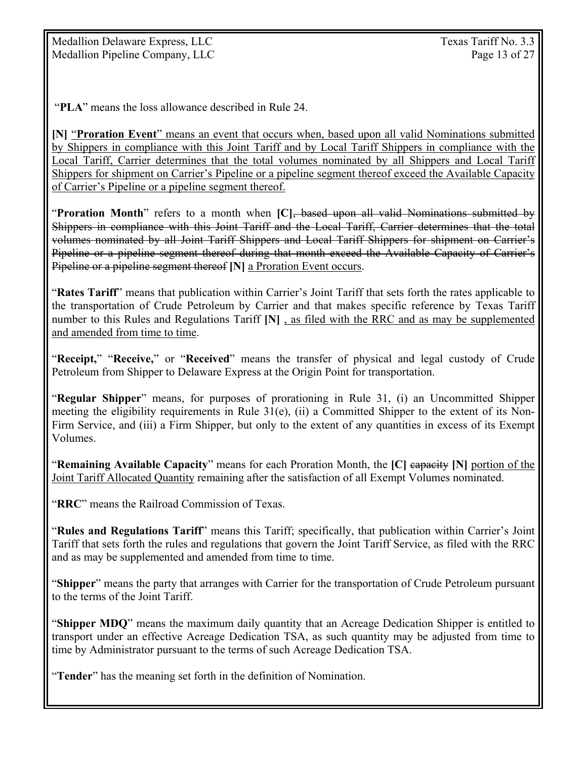Medallion Delaware Express, LLC Texas Tariff No. 3.3 Medallion Pipeline Company, LLC Page 13 of 27

"**PLA**" means the loss allowance described in Rule 24.

**[N]** "**Proration Event**" means an event that occurs when, based upon all valid Nominations submitted by Shippers in compliance with this Joint Tariff and by Local Tariff Shippers in compliance with the Local Tariff, Carrier determines that the total volumes nominated by all Shippers and Local Tariff Shippers for shipment on Carrier's Pipeline or a pipeline segment thereof exceed the Available Capacity of Carrier's Pipeline or a pipeline segment thereof.

"**Proration Month**" refers to a month when **[C]**, based upon all valid Nominations submitted by Shippers in compliance with this Joint Tariff and the Local Tariff, Carrier determines that the total volumes nominated by all Joint Tariff Shippers and Local Tariff Shippers for shipment on Carrier's Pipeline or a pipeline segment thereof during that month exceed the Available Capacity of Carrier's Pipeline or a pipeline segment thereof **[N]** a Proration Event occurs.

"**Rates Tariff**" means that publication within Carrier's Joint Tariff that sets forth the rates applicable to the transportation of Crude Petroleum by Carrier and that makes specific reference by Texas Tariff number to this Rules and Regulations Tariff **[N]** , as filed with the RRC and as may be supplemented and amended from time to time.

"**Receipt,**" "**Receive,**" or "**Received**" means the transfer of physical and legal custody of Crude Petroleum from Shipper to Delaware Express at the Origin Point for transportation.

"**Regular Shipper**" means, for purposes of prorationing in Rule 31, (i) an Uncommitted Shipper meeting the eligibility requirements in Rule 31(e), (ii) a Committed Shipper to the extent of its Non-Firm Service, and (iii) a Firm Shipper, but only to the extent of any quantities in excess of its Exempt Volumes.

"**Remaining Available Capacity**" means for each Proration Month, the **[C]** capacity **[N]** portion of the Joint Tariff Allocated Quantity remaining after the satisfaction of all Exempt Volumes nominated.

"**RRC**" means the Railroad Commission of Texas.

"**Rules and Regulations Tariff**" means this Tariff; specifically, that publication within Carrier's Joint Tariff that sets forth the rules and regulations that govern the Joint Tariff Service, as filed with the RRC and as may be supplemented and amended from time to time.

"**Shipper**" means the party that arranges with Carrier for the transportation of Crude Petroleum pursuant to the terms of the Joint Tariff.

"**Shipper MDQ**" means the maximum daily quantity that an Acreage Dedication Shipper is entitled to transport under an effective Acreage Dedication TSA, as such quantity may be adjusted from time to time by Administrator pursuant to the terms of such Acreage Dedication TSA.

"**Tender**" has the meaning set forth in the definition of Nomination.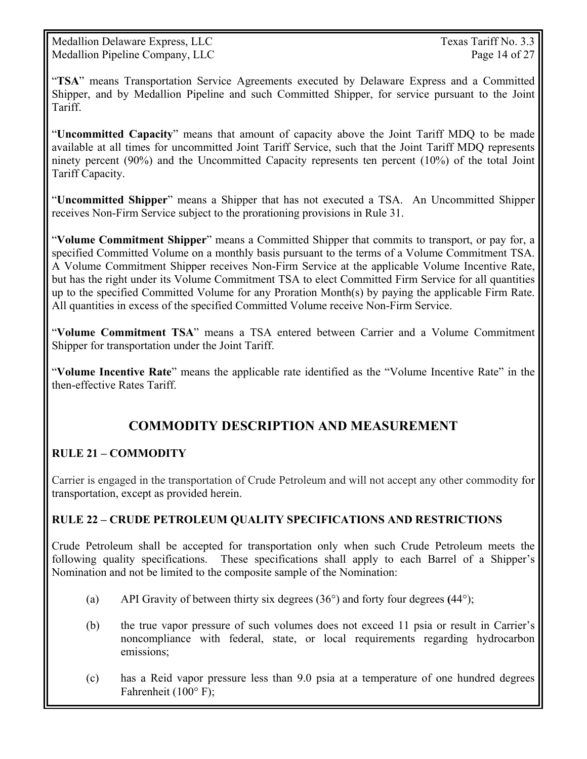Medallion Delaware Express, LLC Texas Tariff No. 3.3 Medallion Pipeline Company, LLC Page 14 of 27

"**TSA**" means Transportation Service Agreements executed by Delaware Express and a Committed Shipper, and by Medallion Pipeline and such Committed Shipper, for service pursuant to the Joint Tariff.

"**Uncommitted Capacity**" means that amount of capacity above the Joint Tariff MDQ to be made available at all times for uncommitted Joint Tariff Service, such that the Joint Tariff MDQ represents ninety percent (90%) and the Uncommitted Capacity represents ten percent (10%) of the total Joint Tariff Capacity.

"**Uncommitted Shipper**" means a Shipper that has not executed a TSA. An Uncommitted Shipper receives Non-Firm Service subject to the prorationing provisions in Rule 31.

"**Volume Commitment Shipper**" means a Committed Shipper that commits to transport, or pay for, a specified Committed Volume on a monthly basis pursuant to the terms of a Volume Commitment TSA. A Volume Commitment Shipper receives Non-Firm Service at the applicable Volume Incentive Rate, but has the right under its Volume Commitment TSA to elect Committed Firm Service for all quantities up to the specified Committed Volume for any Proration Month(s) by paying the applicable Firm Rate. All quantities in excess of the specified Committed Volume receive Non-Firm Service.

"**Volume Commitment TSA**" means a TSA entered between Carrier and a Volume Commitment Shipper for transportation under the Joint Tariff.

"**Volume Incentive Rate**" means the applicable rate identified as the "Volume Incentive Rate" in the then-effective Rates Tariff.

# **COMMODITY DESCRIPTION AND MEASUREMENT**

## **RULE 21 – COMMODITY**

Carrier is engaged in the transportation of Crude Petroleum and will not accept any other commodity for transportation, except as provided herein.

#### **RULE 22 – CRUDE PETROLEUM QUALITY SPECIFICATIONS AND RESTRICTIONS**

Crude Petroleum shall be accepted for transportation only when such Crude Petroleum meets the following quality specifications. These specifications shall apply to each Barrel of a Shipper's Nomination and not be limited to the composite sample of the Nomination:

- (a) API Gravity of between thirty six degrees (36°) and forty four degrees **(**44°);
- (b) the true vapor pressure of such volumes does not exceed 11 psia or result in Carrier's noncompliance with federal, state, or local requirements regarding hydrocarbon emissions;
- (c) has a Reid vapor pressure less than 9.0 psia at a temperature of one hundred degrees Fahrenheit (100° F);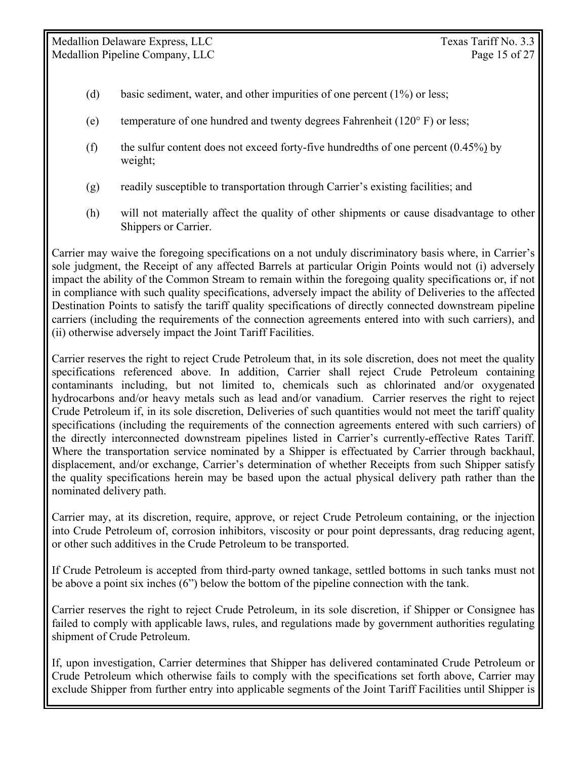- (d) basic sediment, water, and other impurities of one percent (1%) or less;
- (e) temperature of one hundred and twenty degrees Fahrenheit ( $120^\circ$  F) or less;
- (f) the sulfur content does not exceed forty-five hundredths of one percent  $(0.45\%)$  by weight;
- (g) readily susceptible to transportation through Carrier's existing facilities; and
- (h) will not materially affect the quality of other shipments or cause disadvantage to other Shippers or Carrier.

Carrier may waive the foregoing specifications on a not unduly discriminatory basis where, in Carrier's sole judgment, the Receipt of any affected Barrels at particular Origin Points would not (i) adversely impact the ability of the Common Stream to remain within the foregoing quality specifications or, if not in compliance with such quality specifications, adversely impact the ability of Deliveries to the affected Destination Points to satisfy the tariff quality specifications of directly connected downstream pipeline carriers (including the requirements of the connection agreements entered into with such carriers), and (ii) otherwise adversely impact the Joint Tariff Facilities.

Carrier reserves the right to reject Crude Petroleum that, in its sole discretion, does not meet the quality specifications referenced above. In addition, Carrier shall reject Crude Petroleum containing contaminants including, but not limited to, chemicals such as chlorinated and/or oxygenated hydrocarbons and/or heavy metals such as lead and/or vanadium. Carrier reserves the right to reject Crude Petroleum if, in its sole discretion, Deliveries of such quantities would not meet the tariff quality specifications (including the requirements of the connection agreements entered with such carriers) of the directly interconnected downstream pipelines listed in Carrier's currently-effective Rates Tariff. Where the transportation service nominated by a Shipper is effectuated by Carrier through backhaul, displacement, and/or exchange, Carrier's determination of whether Receipts from such Shipper satisfy the quality specifications herein may be based upon the actual physical delivery path rather than the nominated delivery path.

Carrier may, at its discretion, require, approve, or reject Crude Petroleum containing, or the injection into Crude Petroleum of, corrosion inhibitors, viscosity or pour point depressants, drag reducing agent, or other such additives in the Crude Petroleum to be transported.

If Crude Petroleum is accepted from third-party owned tankage, settled bottoms in such tanks must not be above a point six inches (6") below the bottom of the pipeline connection with the tank.

Carrier reserves the right to reject Crude Petroleum, in its sole discretion, if Shipper or Consignee has failed to comply with applicable laws, rules, and regulations made by government authorities regulating shipment of Crude Petroleum.

If, upon investigation, Carrier determines that Shipper has delivered contaminated Crude Petroleum or Crude Petroleum which otherwise fails to comply with the specifications set forth above, Carrier may exclude Shipper from further entry into applicable segments of the Joint Tariff Facilities until Shipper is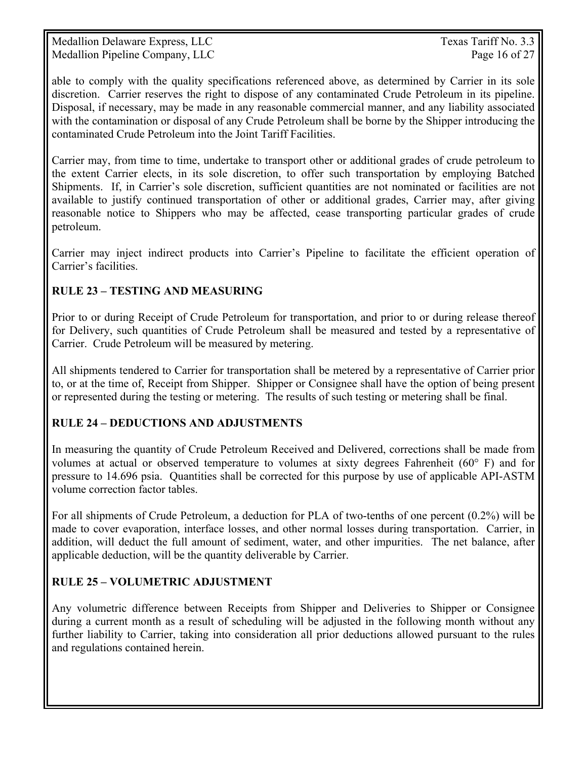Medallion Delaware Express, LLC Texas Tariff No. 3.3 Medallion Pipeline Company, LLC Page 16 of 27

able to comply with the quality specifications referenced above, as determined by Carrier in its sole discretion. Carrier reserves the right to dispose of any contaminated Crude Petroleum in its pipeline. Disposal, if necessary, may be made in any reasonable commercial manner, and any liability associated with the contamination or disposal of any Crude Petroleum shall be borne by the Shipper introducing the contaminated Crude Petroleum into the Joint Tariff Facilities.

Carrier may, from time to time, undertake to transport other or additional grades of crude petroleum to the extent Carrier elects, in its sole discretion, to offer such transportation by employing Batched Shipments. If, in Carrier's sole discretion, sufficient quantities are not nominated or facilities are not available to justify continued transportation of other or additional grades, Carrier may, after giving reasonable notice to Shippers who may be affected, cease transporting particular grades of crude petroleum.

Carrier may inject indirect products into Carrier's Pipeline to facilitate the efficient operation of Carrier's facilities.

#### **RULE 23 – TESTING AND MEASURING**

Prior to or during Receipt of Crude Petroleum for transportation, and prior to or during release thereof for Delivery, such quantities of Crude Petroleum shall be measured and tested by a representative of Carrier. Crude Petroleum will be measured by metering.

All shipments tendered to Carrier for transportation shall be metered by a representative of Carrier prior to, or at the time of, Receipt from Shipper. Shipper or Consignee shall have the option of being present or represented during the testing or metering. The results of such testing or metering shall be final.

## **RULE 24 – DEDUCTIONS AND ADJUSTMENTS**

In measuring the quantity of Crude Petroleum Received and Delivered, corrections shall be made from volumes at actual or observed temperature to volumes at sixty degrees Fahrenheit (60° F) and for pressure to 14.696 psia. Quantities shall be corrected for this purpose by use of applicable API-ASTM volume correction factor tables.

For all shipments of Crude Petroleum, a deduction for PLA of two-tenths of one percent (0.2%) will be made to cover evaporation, interface losses, and other normal losses during transportation. Carrier, in addition, will deduct the full amount of sediment, water, and other impurities. The net balance, after applicable deduction, will be the quantity deliverable by Carrier.

## **RULE 25 – VOLUMETRIC ADJUSTMENT**

Any volumetric difference between Receipts from Shipper and Deliveries to Shipper or Consignee during a current month as a result of scheduling will be adjusted in the following month without any further liability to Carrier, taking into consideration all prior deductions allowed pursuant to the rules and regulations contained herein.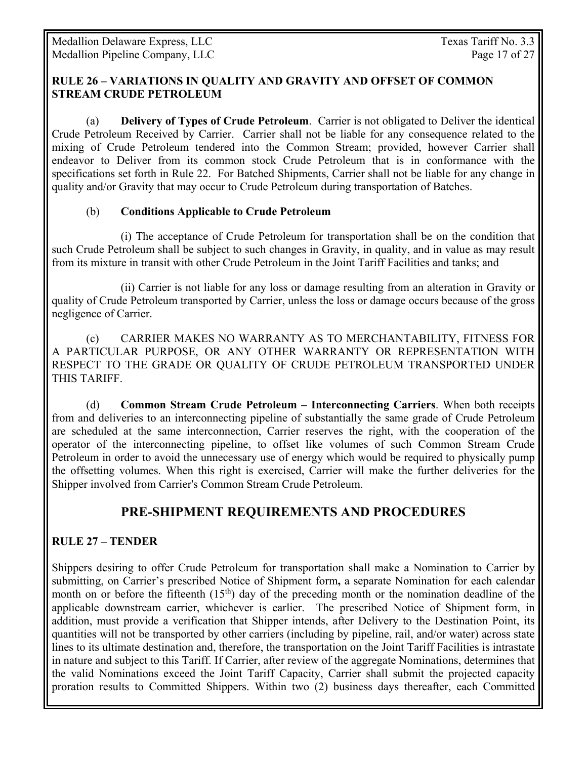#### **RULE 26 – VARIATIONS IN QUALITY AND GRAVITY AND OFFSET OF COMMON STREAM CRUDE PETROLEUM**

(a) **Delivery of Types of Crude Petroleum**. Carrier is not obligated to Deliver the identical Crude Petroleum Received by Carrier. Carrier shall not be liable for any consequence related to the mixing of Crude Petroleum tendered into the Common Stream; provided, however Carrier shall endeavor to Deliver from its common stock Crude Petroleum that is in conformance with the specifications set forth in Rule 22. For Batched Shipments, Carrier shall not be liable for any change in quality and/or Gravity that may occur to Crude Petroleum during transportation of Batches.

#### (b) **Conditions Applicable to Crude Petroleum**

 (i) The acceptance of Crude Petroleum for transportation shall be on the condition that such Crude Petroleum shall be subject to such changes in Gravity, in quality, and in value as may result from its mixture in transit with other Crude Petroleum in the Joint Tariff Facilities and tanks; and

 (ii) Carrier is not liable for any loss or damage resulting from an alteration in Gravity or quality of Crude Petroleum transported by Carrier, unless the loss or damage occurs because of the gross negligence of Carrier.

 (c) CARRIER MAKES NO WARRANTY AS TO MERCHANTABILITY, FITNESS FOR A PARTICULAR PURPOSE, OR ANY OTHER WARRANTY OR REPRESENTATION WITH RESPECT TO THE GRADE OR QUALITY OF CRUDE PETROLEUM TRANSPORTED UNDER THIS TARIFF.

 (d) **Common Stream Crude Petroleum – Interconnecting Carriers**. When both receipts from and deliveries to an interconnecting pipeline of substantially the same grade of Crude Petroleum are scheduled at the same interconnection, Carrier reserves the right, with the cooperation of the operator of the interconnecting pipeline, to offset like volumes of such Common Stream Crude Petroleum in order to avoid the unnecessary use of energy which would be required to physically pump the offsetting volumes. When this right is exercised, Carrier will make the further deliveries for the Shipper involved from Carrier's Common Stream Crude Petroleum.

## **PRE-SHIPMENT REQUIREMENTS AND PROCEDURES**

#### **RULE 27 – TENDER**

Shippers desiring to offer Crude Petroleum for transportation shall make a Nomination to Carrier by submitting, on Carrier's prescribed Notice of Shipment form**,** a separate Nomination for each calendar month on or before the fifteenth  $(15<sup>th</sup>)$  day of the preceding month or the nomination deadline of the applicable downstream carrier, whichever is earlier. The prescribed Notice of Shipment form, in addition, must provide a verification that Shipper intends, after Delivery to the Destination Point, its quantities will not be transported by other carriers (including by pipeline, rail, and/or water) across state lines to its ultimate destination and, therefore, the transportation on the Joint Tariff Facilities is intrastate in nature and subject to this Tariff. If Carrier, after review of the aggregate Nominations, determines that the valid Nominations exceed the Joint Tariff Capacity, Carrier shall submit the projected capacity proration results to Committed Shippers. Within two (2) business days thereafter, each Committed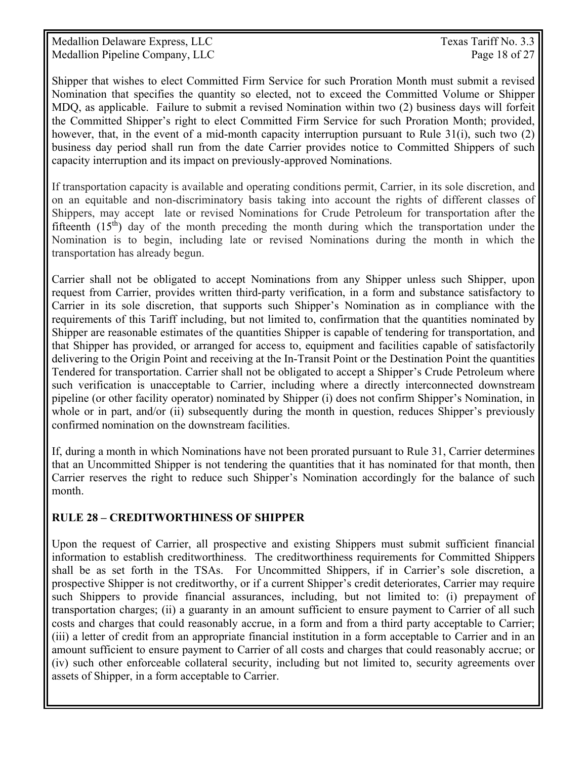Medallion Delaware Express, LLC Texas Tariff No. 3.3 Medallion Pipeline Company, LLC Page 18 of 27

Shipper that wishes to elect Committed Firm Service for such Proration Month must submit a revised Nomination that specifies the quantity so elected, not to exceed the Committed Volume or Shipper MDQ, as applicable. Failure to submit a revised Nomination within two (2) business days will forfeit the Committed Shipper's right to elect Committed Firm Service for such Proration Month; provided, however, that, in the event of a mid-month capacity interruption pursuant to Rule 31(i), such two (2) business day period shall run from the date Carrier provides notice to Committed Shippers of such capacity interruption and its impact on previously-approved Nominations.

If transportation capacity is available and operating conditions permit, Carrier, in its sole discretion, and on an equitable and non-discriminatory basis taking into account the rights of different classes of Shippers, may accept late or revised Nominations for Crude Petroleum for transportation after the fifteenth  $(15<sup>th</sup>)$  day of the month preceding the month during which the transportation under the Nomination is to begin, including late or revised Nominations during the month in which the transportation has already begun.

Carrier shall not be obligated to accept Nominations from any Shipper unless such Shipper, upon request from Carrier, provides written third-party verification, in a form and substance satisfactory to Carrier in its sole discretion, that supports such Shipper's Nomination as in compliance with the requirements of this Tariff including, but not limited to, confirmation that the quantities nominated by Shipper are reasonable estimates of the quantities Shipper is capable of tendering for transportation, and that Shipper has provided, or arranged for access to, equipment and facilities capable of satisfactorily delivering to the Origin Point and receiving at the In-Transit Point or the Destination Point the quantities Tendered for transportation. Carrier shall not be obligated to accept a Shipper's Crude Petroleum where such verification is unacceptable to Carrier, including where a directly interconnected downstream pipeline (or other facility operator) nominated by Shipper (i) does not confirm Shipper's Nomination, in whole or in part, and/or (ii) subsequently during the month in question, reduces Shipper's previously confirmed nomination on the downstream facilities.

If, during a month in which Nominations have not been prorated pursuant to Rule 31, Carrier determines that an Uncommitted Shipper is not tendering the quantities that it has nominated for that month, then Carrier reserves the right to reduce such Shipper's Nomination accordingly for the balance of such month.

#### **RULE 28 – CREDITWORTHINESS OF SHIPPER**

Upon the request of Carrier, all prospective and existing Shippers must submit sufficient financial information to establish creditworthiness. The creditworthiness requirements for Committed Shippers shall be as set forth in the TSAs. For Uncommitted Shippers, if in Carrier's sole discretion, a prospective Shipper is not creditworthy, or if a current Shipper's credit deteriorates, Carrier may require such Shippers to provide financial assurances, including, but not limited to: (i) prepayment of transportation charges; (ii) a guaranty in an amount sufficient to ensure payment to Carrier of all such costs and charges that could reasonably accrue, in a form and from a third party acceptable to Carrier; (iii) a letter of credit from an appropriate financial institution in a form acceptable to Carrier and in an amount sufficient to ensure payment to Carrier of all costs and charges that could reasonably accrue; or (iv) such other enforceable collateral security, including but not limited to, security agreements over assets of Shipper, in a form acceptable to Carrier.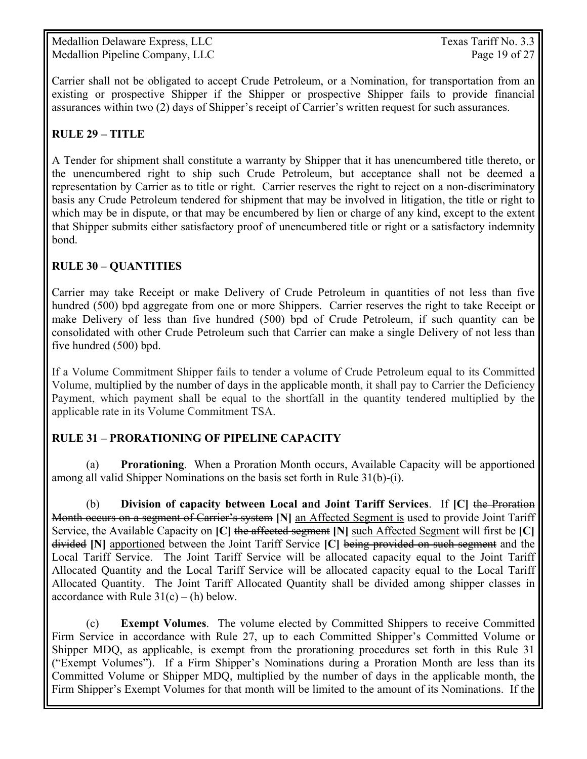Medallion Delaware Express, LLC Texas Tariff No. 3.3 Medallion Pipeline Company, LLC Page 19 of 27

Carrier shall not be obligated to accept Crude Petroleum, or a Nomination, for transportation from an existing or prospective Shipper if the Shipper or prospective Shipper fails to provide financial assurances within two (2) days of Shipper's receipt of Carrier's written request for such assurances.

#### **RULE 29 – TITLE**

A Tender for shipment shall constitute a warranty by Shipper that it has unencumbered title thereto, or the unencumbered right to ship such Crude Petroleum, but acceptance shall not be deemed a representation by Carrier as to title or right. Carrier reserves the right to reject on a non-discriminatory basis any Crude Petroleum tendered for shipment that may be involved in litigation, the title or right to which may be in dispute, or that may be encumbered by lien or charge of any kind, except to the extent that Shipper submits either satisfactory proof of unencumbered title or right or a satisfactory indemnity bond.

#### **RULE 30 – QUANTITIES**

Carrier may take Receipt or make Delivery of Crude Petroleum in quantities of not less than five hundred (500) bpd aggregate from one or more Shippers. Carrier reserves the right to take Receipt or make Delivery of less than five hundred (500) bpd of Crude Petroleum, if such quantity can be consolidated with other Crude Petroleum such that Carrier can make a single Delivery of not less than five hundred (500) bpd.

If a Volume Commitment Shipper fails to tender a volume of Crude Petroleum equal to its Committed Volume, multiplied by the number of days in the applicable month, it shall pay to Carrier the Deficiency Payment, which payment shall be equal to the shortfall in the quantity tendered multiplied by the applicable rate in its Volume Commitment TSA.

## **RULE 31 – PRORATIONING OF PIPELINE CAPACITY**

 (a) **Prorationing**. When a Proration Month occurs, Available Capacity will be apportioned among all valid Shipper Nominations on the basis set forth in Rule 31(b)-(i).

(b) **Division of capacity between Local and Joint Tariff Services**. If **[C]** the Proration Month occurs on a segment of Carrier's system **[N]** an Affected Segment is used to provide Joint Tariff Service, the Available Capacity on **[C]** the affected segment **[N]** such Affected Segment will first be **[C]** divided **[N]** apportioned between the Joint Tariff Service **[C]** being provided on such segment and the Local Tariff Service. The Joint Tariff Service will be allocated capacity equal to the Joint Tariff Allocated Quantity and the Local Tariff Service will be allocated capacity equal to the Local Tariff Allocated Quantity. The Joint Tariff Allocated Quantity shall be divided among shipper classes in accordance with Rule  $31(c) - (h)$  below.

 (c) **Exempt Volumes**. The volume elected by Committed Shippers to receive Committed Firm Service in accordance with Rule 27, up to each Committed Shipper's Committed Volume or Shipper MDQ, as applicable, is exempt from the prorationing procedures set forth in this Rule 31 ("Exempt Volumes"). If a Firm Shipper's Nominations during a Proration Month are less than its Committed Volume or Shipper MDQ, multiplied by the number of days in the applicable month, the Firm Shipper's Exempt Volumes for that month will be limited to the amount of its Nominations. If the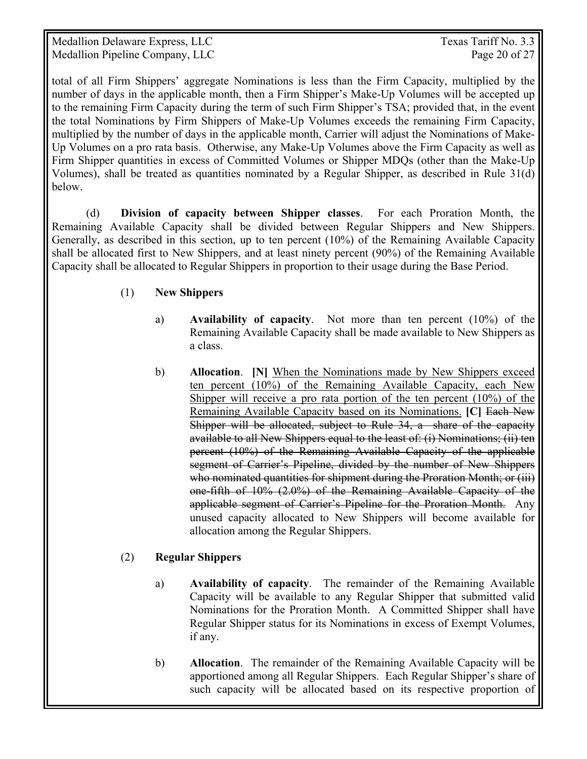Medallion Delaware Express, LLC Texas Tariff No. 3.3 Medallion Pipeline Company, LLC Page 20 of 27

total of all Firm Shippers' aggregate Nominations is less than the Firm Capacity, multiplied by the number of days in the applicable month, then a Firm Shipper's Make-Up Volumes will be accepted up to the remaining Firm Capacity during the term of such Firm Shipper's TSA; provided that, in the event the total Nominations by Firm Shippers of Make-Up Volumes exceeds the remaining Firm Capacity, multiplied by the number of days in the applicable month, Carrier will adjust the Nominations of Make-Up Volumes on a pro rata basis. Otherwise, any Make-Up Volumes above the Firm Capacity as well as Firm Shipper quantities in excess of Committed Volumes or Shipper MDQs (other than the Make-Up Volumes), shall be treated as quantities nominated by a Regular Shipper, as described in Rule 31(d) below.

 (d) **Division of capacity between Shipper classes**. For each Proration Month, the Remaining Available Capacity shall be divided between Regular Shippers and New Shippers. Generally, as described in this section, up to ten percent (10%) of the Remaining Available Capacity shall be allocated first to New Shippers, and at least ninety percent (90%) of the Remaining Available Capacity shall be allocated to Regular Shippers in proportion to their usage during the Base Period.

#### (1) **New Shippers**

- a) **Availability of capacity**. Not more than ten percent (10%) of the Remaining Available Capacity shall be made available to New Shippers as a class.
- b) **Allocation**. **[N]** When the Nominations made by New Shippers exceed ten percent (10%) of the Remaining Available Capacity, each New Shipper will receive a pro rata portion of the ten percent (10%) of the Remaining Available Capacity based on its Nominations. **[C]** Each New Shipper will be allocated, subject to Rule 34, a share of the capacity available to all New Shippers equal to the least of: (i) Nominations; (ii) ten percent (10%) of the Remaining Available Capacity of the applicable segment of Carrier's Pipeline, divided by the number of New Shippers who nominated quantities for shipment during the Proration Month; or (iii) one-fifth of 10% (2.0%) of the Remaining Available Capacity of the applicable segment of Carrier's Pipeline for the Proration Month. Any unused capacity allocated to New Shippers will become available for allocation among the Regular Shippers.

#### (2) **Regular Shippers**

- a) **Availability of capacity**. The remainder of the Remaining Available Capacity will be available to any Regular Shipper that submitted valid Nominations for the Proration Month. A Committed Shipper shall have Regular Shipper status for its Nominations in excess of Exempt Volumes, if any.
- b) **Allocation**. The remainder of the Remaining Available Capacity will be apportioned among all Regular Shippers. Each Regular Shipper's share of such capacity will be allocated based on its respective proportion of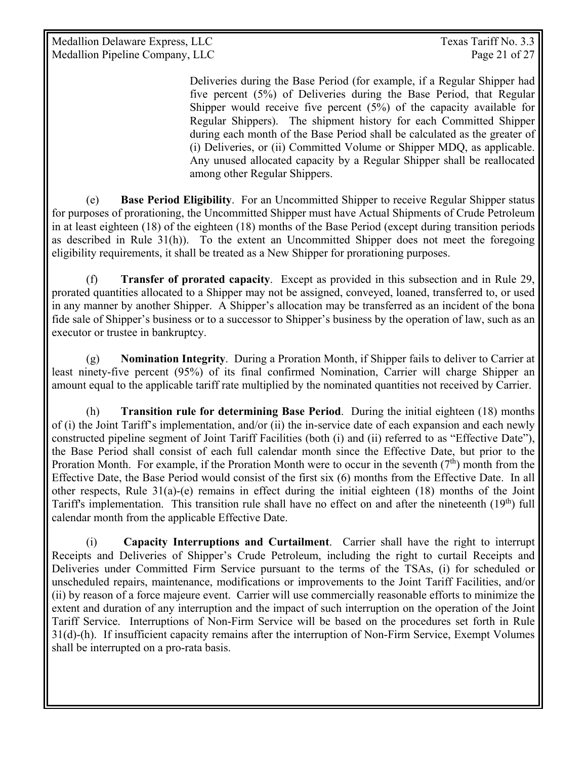Medallion Delaware Express, LLC Texas Tariff No. 3.3 Medallion Pipeline Company, LLC Page 21 of 27

Deliveries during the Base Period (for example, if a Regular Shipper had five percent (5%) of Deliveries during the Base Period, that Regular Shipper would receive five percent  $(5%)$  of the capacity available for Regular Shippers). The shipment history for each Committed Shipper during each month of the Base Period shall be calculated as the greater of (i) Deliveries, or (ii) Committed Volume or Shipper MDQ, as applicable. Any unused allocated capacity by a Regular Shipper shall be reallocated among other Regular Shippers.

 (e) **Base Period Eligibility**. For an Uncommitted Shipper to receive Regular Shipper status for purposes of prorationing, the Uncommitted Shipper must have Actual Shipments of Crude Petroleum in at least eighteen (18) of the eighteen (18) months of the Base Period (except during transition periods as described in Rule 31(h)). To the extent an Uncommitted Shipper does not meet the foregoing eligibility requirements, it shall be treated as a New Shipper for prorationing purposes.

 (f) **Transfer of prorated capacity**. Except as provided in this subsection and in Rule 29, prorated quantities allocated to a Shipper may not be assigned, conveyed, loaned, transferred to, or used in any manner by another Shipper. A Shipper's allocation may be transferred as an incident of the bona fide sale of Shipper's business or to a successor to Shipper's business by the operation of law, such as an executor or trustee in bankruptcy.

 (g) **Nomination Integrity**. During a Proration Month, if Shipper fails to deliver to Carrier at least ninety-five percent (95%) of its final confirmed Nomination, Carrier will charge Shipper an amount equal to the applicable tariff rate multiplied by the nominated quantities not received by Carrier.

(h) **Transition rule for determining Base Period**. During the initial eighteen (18) months of (i) the Joint Tariff's implementation, and/or (ii) the in-service date of each expansion and each newly constructed pipeline segment of Joint Tariff Facilities (both (i) and (ii) referred to as "Effective Date"), the Base Period shall consist of each full calendar month since the Effective Date, but prior to the Proration Month. For example, if the Proration Month were to occur in the seventh  $(7<sup>th</sup>)$  month from the Effective Date, the Base Period would consist of the first six (6) months from the Effective Date. In all other respects, Rule  $31(a)$ -(e) remains in effect during the initial eighteen (18) months of the Joint Tariff's implementation. This transition rule shall have no effect on and after the nineteenth (19<sup>th</sup>) full calendar month from the applicable Effective Date.

(i) **Capacity Interruptions and Curtailment**. Carrier shall have the right to interrupt Receipts and Deliveries of Shipper's Crude Petroleum, including the right to curtail Receipts and Deliveries under Committed Firm Service pursuant to the terms of the TSAs, (i) for scheduled or unscheduled repairs, maintenance, modifications or improvements to the Joint Tariff Facilities, and/or (ii) by reason of a force majeure event. Carrier will use commercially reasonable efforts to minimize the extent and duration of any interruption and the impact of such interruption on the operation of the Joint Tariff Service. Interruptions of Non-Firm Service will be based on the procedures set forth in Rule 31(d)-(h). If insufficient capacity remains after the interruption of Non-Firm Service, Exempt Volumes shall be interrupted on a pro-rata basis.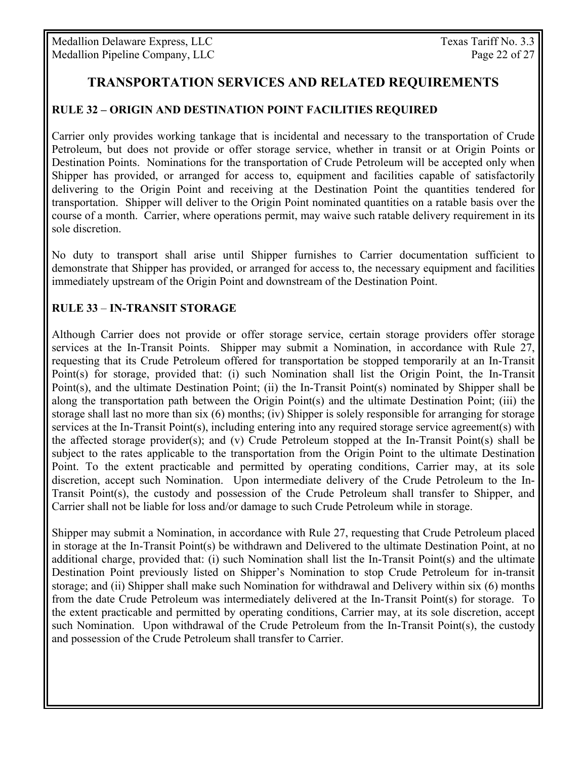# **TRANSPORTATION SERVICES AND RELATED REQUIREMENTS**

#### **RULE 32 – ORIGIN AND DESTINATION POINT FACILITIES REQUIRED**

Carrier only provides working tankage that is incidental and necessary to the transportation of Crude Petroleum, but does not provide or offer storage service, whether in transit or at Origin Points or Destination Points. Nominations for the transportation of Crude Petroleum will be accepted only when Shipper has provided, or arranged for access to, equipment and facilities capable of satisfactorily delivering to the Origin Point and receiving at the Destination Point the quantities tendered for transportation. Shipper will deliver to the Origin Point nominated quantities on a ratable basis over the course of a month. Carrier, where operations permit, may waive such ratable delivery requirement in its sole discretion.

No duty to transport shall arise until Shipper furnishes to Carrier documentation sufficient to demonstrate that Shipper has provided, or arranged for access to, the necessary equipment and facilities immediately upstream of the Origin Point and downstream of the Destination Point.

#### **RULE 33** – **IN-TRANSIT STORAGE**

Although Carrier does not provide or offer storage service, certain storage providers offer storage services at the In-Transit Points. Shipper may submit a Nomination, in accordance with Rule 27, requesting that its Crude Petroleum offered for transportation be stopped temporarily at an In-Transit Point(s) for storage, provided that: (i) such Nomination shall list the Origin Point, the In-Transit Point(s), and the ultimate Destination Point; (ii) the In-Transit Point(s) nominated by Shipper shall be along the transportation path between the Origin Point(s) and the ultimate Destination Point; (iii) the storage shall last no more than six (6) months; (iv) Shipper is solely responsible for arranging for storage services at the In-Transit Point(s), including entering into any required storage service agreement(s) with the affected storage provider(s); and (v) Crude Petroleum stopped at the In-Transit Point(s) shall be subject to the rates applicable to the transportation from the Origin Point to the ultimate Destination Point. To the extent practicable and permitted by operating conditions, Carrier may, at its sole discretion, accept such Nomination. Upon intermediate delivery of the Crude Petroleum to the In-Transit Point(s), the custody and possession of the Crude Petroleum shall transfer to Shipper, and Carrier shall not be liable for loss and/or damage to such Crude Petroleum while in storage.

Shipper may submit a Nomination, in accordance with Rule 27, requesting that Crude Petroleum placed in storage at the In-Transit Point(s) be withdrawn and Delivered to the ultimate Destination Point, at no additional charge, provided that: (i) such Nomination shall list the In-Transit Point(s) and the ultimate Destination Point previously listed on Shipper's Nomination to stop Crude Petroleum for in-transit storage; and (ii) Shipper shall make such Nomination for withdrawal and Delivery within six (6) months from the date Crude Petroleum was intermediately delivered at the In-Transit Point(s) for storage. To the extent practicable and permitted by operating conditions, Carrier may, at its sole discretion, accept such Nomination. Upon withdrawal of the Crude Petroleum from the In-Transit Point(s), the custody and possession of the Crude Petroleum shall transfer to Carrier.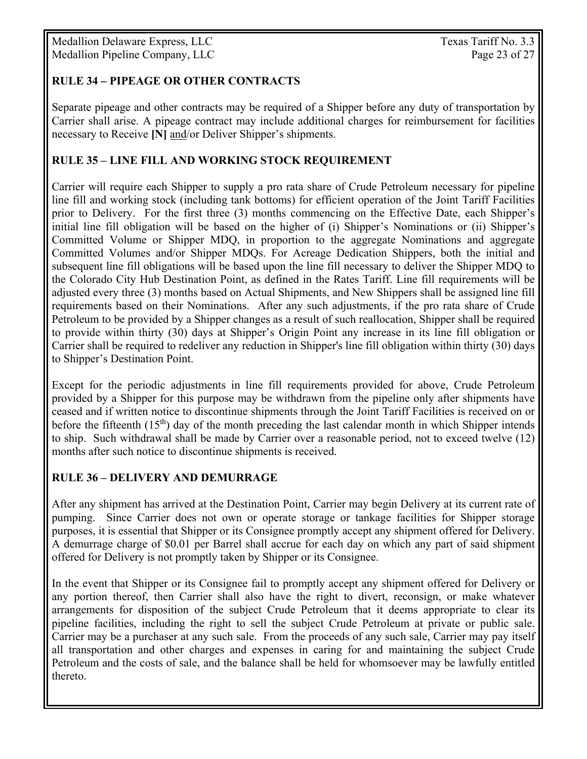Medallion Delaware Express, LLC Texas Tariff No. 3.3 Medallion Pipeline Company, LLC Page 23 of 27

#### **RULE 34** *–* **PIPEAGE OR OTHER CONTRACTS**

Separate pipeage and other contracts may be required of a Shipper before any duty of transportation by Carrier shall arise. A pipeage contract may include additional charges for reimbursement for facilities necessary to Receive **[N]** and/or Deliver Shipper's shipments.

#### **RULE 35 – LINE FILL AND WORKING STOCK REQUIREMENT**

Carrier will require each Shipper to supply a pro rata share of Crude Petroleum necessary for pipeline line fill and working stock (including tank bottoms) for efficient operation of the Joint Tariff Facilities prior to Delivery. For the first three (3) months commencing on the Effective Date, each Shipper's initial line fill obligation will be based on the higher of (i) Shipper's Nominations or (ii) Shipper's Committed Volume or Shipper MDQ, in proportion to the aggregate Nominations and aggregate Committed Volumes and/or Shipper MDQs. For Acreage Dedication Shippers, both the initial and subsequent line fill obligations will be based upon the line fill necessary to deliver the Shipper MDQ to the Colorado City Hub Destination Point, as defined in the Rates Tariff. Line fill requirements will be adjusted every three (3) months based on Actual Shipments, and New Shippers shall be assigned line fill requirements based on their Nominations. After any such adjustments, if the pro rata share of Crude Petroleum to be provided by a Shipper changes as a result of such reallocation, Shipper shall be required to provide within thirty (30) days at Shipper's Origin Point any increase in its line fill obligation or Carrier shall be required to redeliver any reduction in Shipper's line fill obligation within thirty (30) days to Shipper's Destination Point.

Except for the periodic adjustments in line fill requirements provided for above, Crude Petroleum provided by a Shipper for this purpose may be withdrawn from the pipeline only after shipments have ceased and if written notice to discontinue shipments through the Joint Tariff Facilities is received on or before the fifteenth  $(15<sup>th</sup>)$  day of the month preceding the last calendar month in which Shipper intends to ship. Such withdrawal shall be made by Carrier over a reasonable period, not to exceed twelve (12) months after such notice to discontinue shipments is received.

#### **RULE 36 – DELIVERY AND DEMURRAGE**

After any shipment has arrived at the Destination Point, Carrier may begin Delivery at its current rate of pumping. Since Carrier does not own or operate storage or tankage facilities for Shipper storage purposes, it is essential that Shipper or its Consignee promptly accept any shipment offered for Delivery. A demurrage charge of \$0.01 per Barrel shall accrue for each day on which any part of said shipment offered for Delivery is not promptly taken by Shipper or its Consignee.

In the event that Shipper or its Consignee fail to promptly accept any shipment offered for Delivery or any portion thereof, then Carrier shall also have the right to divert, reconsign, or make whatever arrangements for disposition of the subject Crude Petroleum that it deems appropriate to clear its pipeline facilities, including the right to sell the subject Crude Petroleum at private or public sale. Carrier may be a purchaser at any such sale. From the proceeds of any such sale, Carrier may pay itself all transportation and other charges and expenses in caring for and maintaining the subject Crude Petroleum and the costs of sale, and the balance shall be held for whomsoever may be lawfully entitled thereto.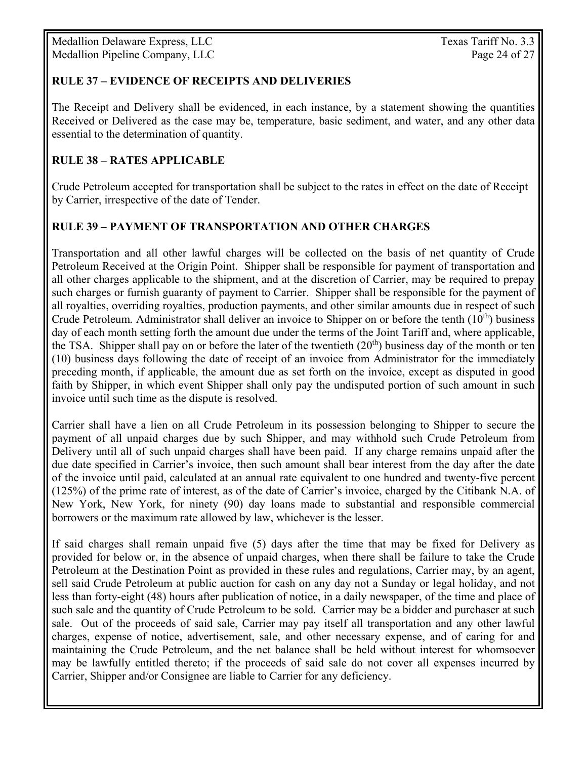Medallion Delaware Express, LLC Texas Tariff No. 3.3 Medallion Pipeline Company, LLC Page 24 of 27

#### **RULE 37 – EVIDENCE OF RECEIPTS AND DELIVERIES**

The Receipt and Delivery shall be evidenced, in each instance, by a statement showing the quantities Received or Delivered as the case may be, temperature, basic sediment, and water, and any other data essential to the determination of quantity.

#### **RULE 38 – RATES APPLICABLE**

Crude Petroleum accepted for transportation shall be subject to the rates in effect on the date of Receipt by Carrier, irrespective of the date of Tender.

#### **RULE 39 – PAYMENT OF TRANSPORTATION AND OTHER CHARGES**

Transportation and all other lawful charges will be collected on the basis of net quantity of Crude Petroleum Received at the Origin Point. Shipper shall be responsible for payment of transportation and all other charges applicable to the shipment, and at the discretion of Carrier, may be required to prepay such charges or furnish guaranty of payment to Carrier. Shipper shall be responsible for the payment of all royalties, overriding royalties, production payments, and other similar amounts due in respect of such Crude Petroleum*.* Administrator shall deliver an invoice to Shipper on or before the tenth (10th) business day of each month setting forth the amount due under the terms of the Joint Tariff and, where applicable, the TSA. Shipper shall pay on or before the later of the twentieth  $(20<sup>th</sup>)$  business day of the month or ten (10) business days following the date of receipt of an invoice from Administrator for the immediately preceding month, if applicable, the amount due as set forth on the invoice, except as disputed in good faith by Shipper, in which event Shipper shall only pay the undisputed portion of such amount in such invoice until such time as the dispute is resolved.

Carrier shall have a lien on all Crude Petroleum in its possession belonging to Shipper to secure the payment of all unpaid charges due by such Shipper, and may withhold such Crude Petroleum from Delivery until all of such unpaid charges shall have been paid. If any charge remains unpaid after the due date specified in Carrier's invoice, then such amount shall bear interest from the day after the date of the invoice until paid, calculated at an annual rate equivalent to one hundred and twenty-five percent (125%) of the prime rate of interest, as of the date of Carrier's invoice, charged by the Citibank N.A. of New York, New York, for ninety (90) day loans made to substantial and responsible commercial borrowers or the maximum rate allowed by law, whichever is the lesser.

If said charges shall remain unpaid five (5) days after the time that may be fixed for Delivery as provided for below or, in the absence of unpaid charges, when there shall be failure to take the Crude Petroleum at the Destination Point as provided in these rules and regulations, Carrier may, by an agent, sell said Crude Petroleum at public auction for cash on any day not a Sunday or legal holiday, and not less than forty-eight (48) hours after publication of notice, in a daily newspaper, of the time and place of such sale and the quantity of Crude Petroleum to be sold. Carrier may be a bidder and purchaser at such sale. Out of the proceeds of said sale, Carrier may pay itself all transportation and any other lawful charges, expense of notice, advertisement, sale, and other necessary expense, and of caring for and maintaining the Crude Petroleum, and the net balance shall be held without interest for whomsoever may be lawfully entitled thereto; if the proceeds of said sale do not cover all expenses incurred by Carrier, Shipper and/or Consignee are liable to Carrier for any deficiency.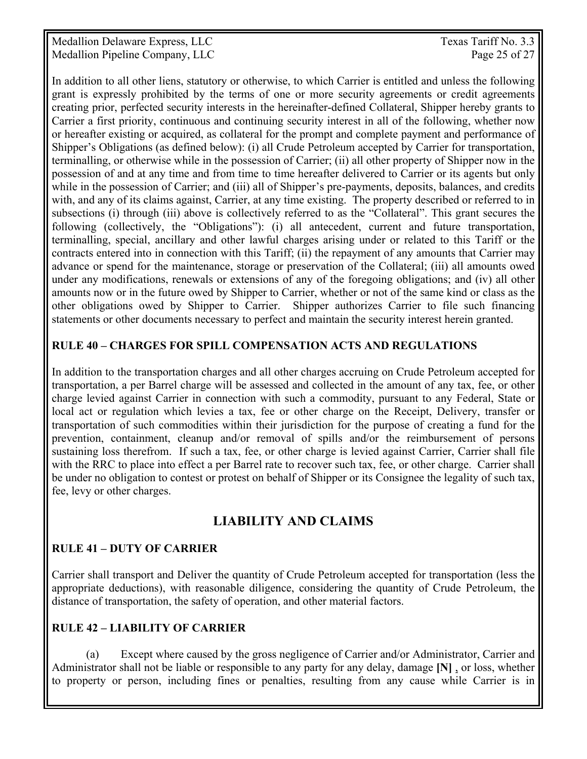Medallion Delaware Express, LLC Texas Tariff No. 3.3 Medallion Pipeline Company, LLC Page 25 of 27

In addition to all other liens, statutory or otherwise, to which Carrier is entitled and unless the following grant is expressly prohibited by the terms of one or more security agreements or credit agreements creating prior, perfected security interests in the hereinafter-defined Collateral, Shipper hereby grants to Carrier a first priority, continuous and continuing security interest in all of the following, whether now or hereafter existing or acquired, as collateral for the prompt and complete payment and performance of Shipper's Obligations (as defined below): (i) all Crude Petroleum accepted by Carrier for transportation, terminalling, or otherwise while in the possession of Carrier; (ii) all other property of Shipper now in the possession of and at any time and from time to time hereafter delivered to Carrier or its agents but only while in the possession of Carrier; and (iii) all of Shipper's pre-payments, deposits, balances, and credits with, and any of its claims against, Carrier, at any time existing. The property described or referred to in subsections (i) through (iii) above is collectively referred to as the "Collateral". This grant secures the following (collectively, the "Obligations"): (i) all antecedent, current and future transportation, terminalling, special, ancillary and other lawful charges arising under or related to this Tariff or the contracts entered into in connection with this Tariff; (ii) the repayment of any amounts that Carrier may advance or spend for the maintenance, storage or preservation of the Collateral; (iii) all amounts owed under any modifications, renewals or extensions of any of the foregoing obligations; and (iv) all other amounts now or in the future owed by Shipper to Carrier, whether or not of the same kind or class as the other obligations owed by Shipper to Carrier. Shipper authorizes Carrier to file such financing statements or other documents necessary to perfect and maintain the security interest herein granted.

#### **RULE 40 – CHARGES FOR SPILL COMPENSATION ACTS AND REGULATIONS**

In addition to the transportation charges and all other charges accruing on Crude Petroleum accepted for transportation, a per Barrel charge will be assessed and collected in the amount of any tax, fee, or other charge levied against Carrier in connection with such a commodity, pursuant to any Federal, State or local act or regulation which levies a tax, fee or other charge on the Receipt, Delivery, transfer or transportation of such commodities within their jurisdiction for the purpose of creating a fund for the prevention, containment, cleanup and/or removal of spills and/or the reimbursement of persons sustaining loss therefrom. If such a tax, fee, or other charge is levied against Carrier, Carrier shall file with the RRC to place into effect a per Barrel rate to recover such tax, fee, or other charge. Carrier shall be under no obligation to contest or protest on behalf of Shipper or its Consignee the legality of such tax, fee, levy or other charges.

# **LIABILITY AND CLAIMS**

## **RULE 41 – DUTY OF CARRIER**

Carrier shall transport and Deliver the quantity of Crude Petroleum accepted for transportation (less the appropriate deductions), with reasonable diligence, considering the quantity of Crude Petroleum, the distance of transportation, the safety of operation, and other material factors.

## **RULE 42 – LIABILITY OF CARRIER**

 (a) Except where caused by the gross negligence of Carrier and/or Administrator, Carrier and Administrator shall not be liable or responsible to any party for any delay, damage **[N]** , or loss, whether to property or person, including fines or penalties, resulting from any cause while Carrier is in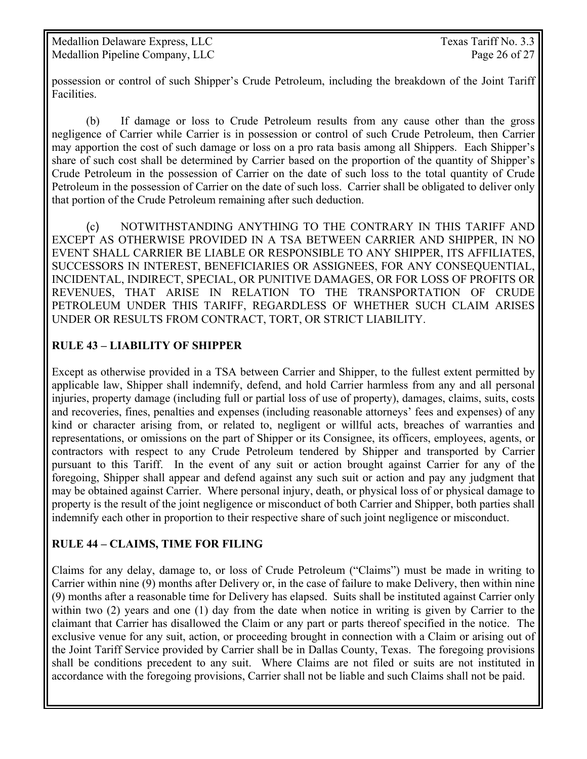possession or control of such Shipper's Crude Petroleum, including the breakdown of the Joint Tariff Facilities.

 (b) If damage or loss to Crude Petroleum results from any cause other than the gross negligence of Carrier while Carrier is in possession or control of such Crude Petroleum, then Carrier may apportion the cost of such damage or loss on a pro rata basis among all Shippers. Each Shipper's share of such cost shall be determined by Carrier based on the proportion of the quantity of Shipper's Crude Petroleum in the possession of Carrier on the date of such loss to the total quantity of Crude Petroleum in the possession of Carrier on the date of such loss. Carrier shall be obligated to deliver only that portion of the Crude Petroleum remaining after such deduction.

 (c) NOTWITHSTANDING ANYTHING TO THE CONTRARY IN THIS TARIFF AND EXCEPT AS OTHERWISE PROVIDED IN A TSA BETWEEN CARRIER AND SHIPPER, IN NO EVENT SHALL CARRIER BE LIABLE OR RESPONSIBLE TO ANY SHIPPER, ITS AFFILIATES, SUCCESSORS IN INTEREST, BENEFICIARIES OR ASSIGNEES, FOR ANY CONSEQUENTIAL, INCIDENTAL, INDIRECT, SPECIAL, OR PUNITIVE DAMAGES, OR FOR LOSS OF PROFITS OR REVENUES, THAT ARISE IN RELATION TO THE TRANSPORTATION OF CRUDE PETROLEUM UNDER THIS TARIFF, REGARDLESS OF WHETHER SUCH CLAIM ARISES UNDER OR RESULTS FROM CONTRACT, TORT, OR STRICT LIABILITY.

## **RULE 43 – LIABILITY OF SHIPPER**

Except as otherwise provided in a TSA between Carrier and Shipper, to the fullest extent permitted by applicable law, Shipper shall indemnify, defend, and hold Carrier harmless from any and all personal injuries, property damage (including full or partial loss of use of property), damages, claims, suits, costs and recoveries, fines, penalties and expenses (including reasonable attorneys' fees and expenses) of any kind or character arising from, or related to, negligent or willful acts, breaches of warranties and representations, or omissions on the part of Shipper or its Consignee, its officers, employees, agents, or contractors with respect to any Crude Petroleum tendered by Shipper and transported by Carrier pursuant to this Tariff. In the event of any suit or action brought against Carrier for any of the foregoing, Shipper shall appear and defend against any such suit or action and pay any judgment that may be obtained against Carrier. Where personal injury, death, or physical loss of or physical damage to property is the result of the joint negligence or misconduct of both Carrier and Shipper, both parties shall indemnify each other in proportion to their respective share of such joint negligence or misconduct.

#### **RULE 44 – CLAIMS, TIME FOR FILING**

Claims for any delay, damage to, or loss of Crude Petroleum ("Claims") must be made in writing to Carrier within nine (9) months after Delivery or, in the case of failure to make Delivery, then within nine (9) months after a reasonable time for Delivery has elapsed. Suits shall be instituted against Carrier only within two (2) years and one (1) day from the date when notice in writing is given by Carrier to the claimant that Carrier has disallowed the Claim or any part or parts thereof specified in the notice. The exclusive venue for any suit, action, or proceeding brought in connection with a Claim or arising out of the Joint Tariff Service provided by Carrier shall be in Dallas County, Texas. The foregoing provisions shall be conditions precedent to any suit. Where Claims are not filed or suits are not instituted in accordance with the foregoing provisions, Carrier shall not be liable and such Claims shall not be paid.